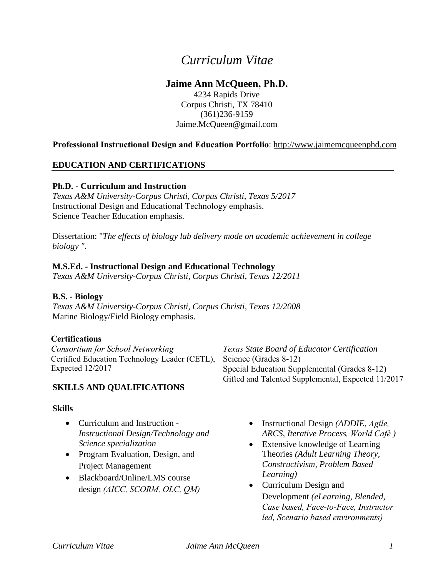# *Curriculum Vitae*

# **Jaime Ann McQueen, Ph.D.**

4234 Rapids Drive Corpus Christi, TX 78410 (361)236-9159 Jaime.McQueen@gmail.com

### **Professional Instructional Design and Education Portfolio**: http://www.jaimemcqueenphd.com

### **EDUCATION AND CERTIFICATIONS**

#### **Ph.D. - Curriculum and Instruction**

*Texas A&M University-Corpus Christi, Corpus Christi, Texas 5/2017* Instructional Design and Educational Technology emphasis. Science Teacher Education emphasis.

Dissertation: "*The effects of biology lab delivery mode on academic achievement in college biology ".*

#### **M.S.Ed. - Instructional Design and Educational Technology**

*Texas A&M University-Corpus Christi, Corpus Christi, Texas 12/2011* 

#### **B.S. - Biology**

*Texas A&M University-Corpus Christi, Corpus Christi, Texas 12/2008*  Marine Biology/Field Biology emphasis.

#### **Certifications**

*Consortium for School Networking* Certified Education Technology Leader (CETL), Expected 12/2017 *Texas State Board of Educator Certification* Science (Grades 8-12) Special Education Supplemental (Grades 8-12) Gifted and Talented Supplemental, Expected 11/2017

**SKILLS AND QUALIFICATIONS**

#### **Skills**

- Curriculum and Instruction *Instructional Design/Technology and Science specialization*
- Program Evaluation, Design, and Project Management
- Blackboard/Online/LMS course design *(AICC, SCORM, OLC, QM)*
- Instructional Design *(ADDIE, Agile, ARCS, Iterative Process, World Café )*
- Extensive knowledge of Learning Theories *(Adult Learning Theory, Constructivism, Problem Based Learning)*
- Curriculum Design and Development *(eLearning, Blended, Case based, Face-to-Face, Instructor led, Scenario based environments)*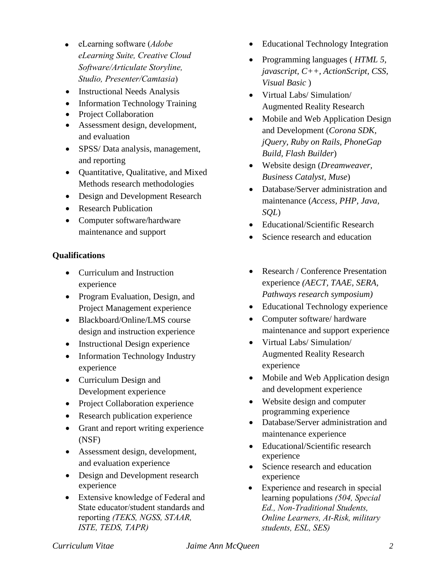- eLearning software (*Adobe eLearning Suite, Creative Cloud Software/Articulate Storyline, Studio, Presenter/Camtasia*)
- Instructional Needs Analysis
- Information Technology Training
- Project Collaboration
- Assessment design, development, and evaluation
- SPSS/Data analysis, management, and reporting
- Quantitative, Qualitative, and Mixed Methods research methodologies
- Design and Development Research
- Research Publication
- Computer software/hardware maintenance and support

#### **Qualifications**

- Curriculum and Instruction experience
- Program Evaluation, Design, and Project Management experience
- Blackboard/Online/LMS course design and instruction experience
- Instructional Design experience
- Information Technology Industry experience
- Curriculum Design and Development experience
- Project Collaboration experience
- Research publication experience
- Grant and report writing experience (NSF)
- Assessment design, development, and evaluation experience
- Design and Development research experience
- Extensive knowledge of Federal and State educator/student standards and reporting *(TEKS, NGSS, STAAR, ISTE, TEDS, TAPR)*
- Educational Technology Integration
- Programming languages ( *HTML 5, javascript, C++, ActionScript, CSS, Visual Basic* )
- Virtual Labs/ Simulation/ Augmented Reality Research
- Mobile and Web Application Design and Development (*Corona SDK, jQuery, Ruby on Rails, PhoneGap Build, Flash Builder*)
- Website design (*Dreamweaver, Business Catalyst, Muse*)
- Database/Server administration and maintenance (*Access, PHP, Java, SQL*)
- Educational/Scientific Research
- Science research and education
- Research / Conference Presentation experience *(AECT, TAAE, SERA, Pathways research symposium)*
- Educational Technology experience
- Computer software/ hardware maintenance and support experience
- Virtual Labs/ Simulation/ Augmented Reality Research experience
- Mobile and Web Application design and development experience
- Website design and computer programming experience
- Database/Server administration and maintenance experience
- Educational/Scientific research experience
- Science research and education experience
- Experience and research in special learning populations *(504, Special Ed., Non-Traditional Students, Online Learners, At-Risk, military students, ESL, SES)*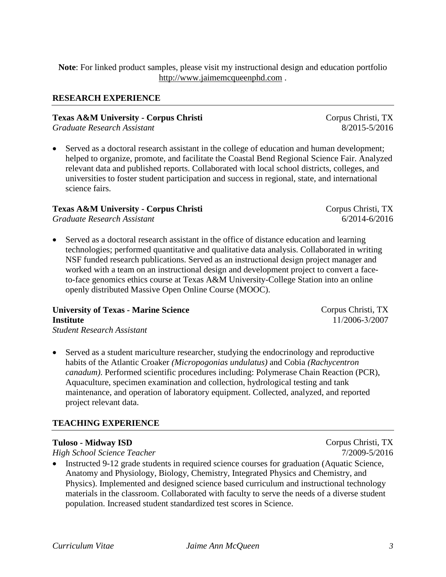**Note**: For linked product samples, please visit my instructional design and education portfolio http://www.jaimemcqueenphd.com .

# **RESEARCH EXPERIENCE**

**Texas A&M University - Corpus Christi** *Graduate Research Assistant* 

• Served as a doctoral research assistant in the college of education and human development; helped to organize, promote, and facilitate the Coastal Bend Regional Science Fair. Analyzed relevant data and published reports. Collaborated with local school districts, colleges, and universities to foster student participation and success in regional, state, and international science fairs.

#### **Texas A&M University - Corpus Christi**

*Graduate Research Assistant* 

• Served as a doctoral research assistant in the office of distance education and learning technologies; performed quantitative and qualitative data analysis. Collaborated in writing NSF funded research publications. Served as an instructional design project manager and worked with a team on an instructional design and development project to convert a faceto-face genomics ethics course at Texas A&M University-College Station into an online openly distributed Massive Open Online Course (MOOC).

# **University of Texas - Marine Science Institute**

- *Student Research Assistant*
- Served as a student mariculture researcher, studying the endocrinology and reproductive habits of the Atlantic Croaker *(Micropogonias undulatus)* and Cobia *(Rachycentron canadum)*. Performed scientific procedures including: Polymerase Chain Reaction (PCR), Aquaculture, specimen examination and collection, hydrological testing and tank maintenance, and operation of laboratory equipment. Collected, analyzed, and reported project relevant data.

# **TEACHING EXPERIENCE**

# **Tuloso - Midway ISD**

*High School Science Teacher* 

• Instructed 9-12 grade students in required science courses for graduation (Aquatic Science, Anatomy and Physiology, Biology, Chemistry, Integrated Physics and Chemistry, and Physics). Implemented and designed science based curriculum and instructional technology materials in the classroom. Collaborated with faculty to serve the needs of a diverse student population. Increased student standardized test scores in Science.

Corpus Christi, TX 7/2009-5/2016



Corpus Christi, TX 11/2006-3/2007

Corpus Christi, TX 8/2015-5/2016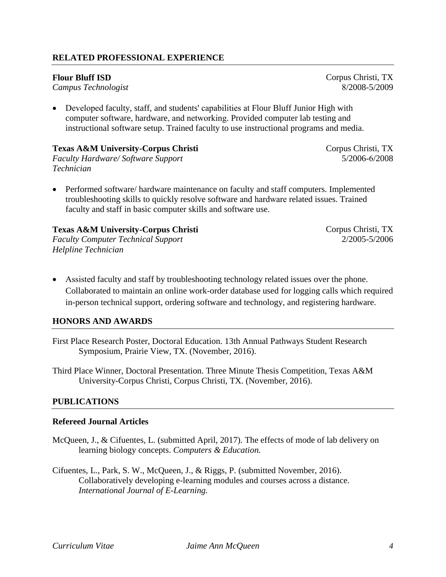#### **RELATED PROFESSIONAL EXPERIENCE**

#### **Flour Bluff ISD**

*Campus Technologist* 

• Developed faculty, staff, and students' capabilities at Flour Bluff Junior High with computer software, hardware, and networking. Provided computer lab testing and instructional software setup. Trained faculty to use instructional programs and media.

#### **Texas A&M University-Corpus Christi**

*Faculty Hardware/ Software Support Technician*

• Performed software/ hardware maintenance on faculty and staff computers. Implemented troubleshooting skills to quickly resolve software and hardware related issues. Trained faculty and staff in basic computer skills and software use.

# **Texas A&M University-Corpus Christi**

*Faculty Computer Technical Support Helpline Technician*

- Corpus Christi, TX 2/2005-5/2006
- Assisted faculty and staff by troubleshooting technology related issues over the phone. Collaborated to maintain an online work-order database used for logging calls which required in-person technical support, ordering software and technology, and registering hardware.

#### **HONORS AND AWARDS**

First Place Research Poster, Doctoral Education. 13th Annual Pathways Student Research Symposium, Prairie View, TX. (November, 2016).

Third Place Winner, Doctoral Presentation. Three Minute Thesis Competition, Texas A&M University-Corpus Christi, Corpus Christi, TX. (November, 2016).

# **PUBLICATIONS**

#### **Refereed Journal Articles**

- McQueen, J., & Cifuentes, L. (submitted April, 2017). The effects of mode of lab delivery on learning biology concepts. *Computers & Education.*
- Cifuentes, L., Park, S. W., McQueen, J., & Riggs, P. (submitted November, 2016). Collaboratively developing e-learning modules and courses across a distance. *International Journal of E-Learning.*

Corpus Christi, TX 8/2008-5/2009

Corpus Christi, TX 5/2006-6/2008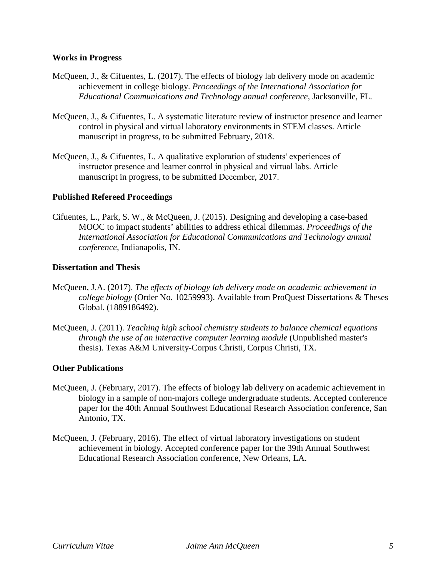#### **Works in Progress**

- McQueen, J., & Cifuentes, L. (2017). The effects of biology lab delivery mode on academic achievement in college biology. *Proceedings of the International Association for Educational Communications and Technology annual conference,* Jacksonville, FL.
- McQueen, J., & Cifuentes, L. A systematic literature review of instructor presence and learner control in physical and virtual laboratory environments in STEM classes. Article manuscript in progress, to be submitted February, 2018.
- McQueen, J., & Cifuentes, L. A qualitative exploration of students' experiences of instructor presence and learner control in physical and virtual labs. Article manuscript in progress, to be submitted December, 2017.

#### **Published Refereed Proceedings**

Cifuentes, L., Park, S. W., & McQueen, J. (2015). Designing and developing a case-based MOOC to impact students' abilities to address ethical dilemmas. *Proceedings of the International Association for Educational Communications and Technology annual conference,* Indianapolis, IN.

#### **Dissertation and Thesis**

- McQueen, J.A. (2017). *The effects of biology lab delivery mode on academic achievement in college biology* (Order No. 10259993). Available from ProQuest Dissertations & Theses Global. (1889186492).
- McQueen, J. (2011). *Teaching high school chemistry students to balance chemical equations through the use of an interactive computer learning module* (Unpublished master's thesis). Texas A&M University-Corpus Christi, Corpus Christi, TX.

#### **Other Publications**

- McQueen, J. (February, 2017). The effects of biology lab delivery on academic achievement in biology in a sample of non-majors college undergraduate students. Accepted conference paper for the 40th Annual Southwest Educational Research Association conference, San Antonio, TX.
- McQueen, J. (February, 2016). The effect of virtual laboratory investigations on student achievement in biology. Accepted conference paper for the 39th Annual Southwest Educational Research Association conference, New Orleans, LA.